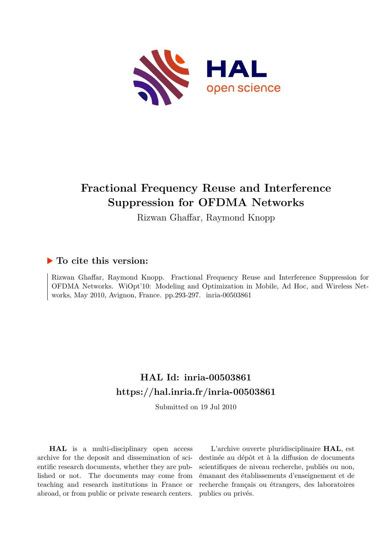

## **Fractional Frequency Reuse and Interference Suppression for OFDMA Networks**

Rizwan Ghaffar, Raymond Knopp

### **To cite this version:**

Rizwan Ghaffar, Raymond Knopp. Fractional Frequency Reuse and Interference Suppression for OFDMA Networks. WiOpt'10: Modeling and Optimization in Mobile, Ad Hoc, and Wireless Networks, May 2010, Avignon, France. pp.293-297. inria-00503861

## **HAL Id: inria-00503861 <https://hal.inria.fr/inria-00503861>**

Submitted on 19 Jul 2010

**HAL** is a multi-disciplinary open access archive for the deposit and dissemination of scientific research documents, whether they are published or not. The documents may come from teaching and research institutions in France or abroad, or from public or private research centers.

L'archive ouverte pluridisciplinaire **HAL**, est destinée au dépôt et à la diffusion de documents scientifiques de niveau recherche, publiés ou non, émanant des établissements d'enseignement et de recherche français ou étrangers, des laboratoires publics ou privés.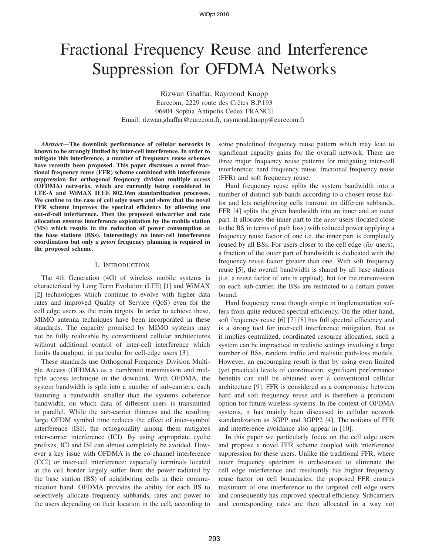# Fractional Frequency Reuse and Interference Suppression for OFDMA Networks

Rizwan Ghaffar, Raymond Knopp Eurecom, 2229 route des Crêtes B.P.193 06904 Sophia Antipolis Cedex FRANCE Email: rizwan.ghaffar@eurecom.fr, raymond.knopp@eurecom.fr

*Abstract***—The downlink performance of cellular networks is known to be strongly limited by inter-cell interference. In order to mitigate this interference, a number of frequency reuse schemes have recently been proposed. This paper discusses a novel fractional frequency reuse (FFR) scheme combined with interference suppression for orthogonal frequency division multiple access (OFDMA) networks, which are currently being considered in LTE-A and WiMAX IEEE 802.16m standardization processes. We confine to the case of cell edge users and show that the novel FFR scheme improves the spectral efficiency by allowing one out-of-cell interference. Then the proposed subcarrier and rate allocation ensures interference exploitation by the mobile station (MS) which results in the reduction of power consumption at the base stations (BSs). Interestingly no inter-cell interference coordination but only** *a priori* **frequency planning is required in the proposed scheme.**

#### I. INTRODUCTION

The 4th Generation (4G) of wireless mobile systems is characterized by Long Term Evolution (LTE) [1] and WiMAX [2] technologies which continue to evolve with higher data rates and improved Quality of Service (QoS) even for the cell edge users as the main targets. In order to achieve these, MIMO antenna techniques have been incorporated in these standards. The capacity promised by MIMO systems may not be fully realizable by conventional cellular architectures without additional control of inter-cell interference which limits throughput, in particular for cell-edge users [3].

These standards use Orthogonal Frequency Division Multiple Access (OFDMA) as a combined transmission and multiple access technique in the downlink. With OFDMA, the system bandwidth is split into a number of sub-carriers, each featuring a bandwidth smaller than the systems coherence bandwidth, on which data of different users is transmitted in parallel. While the sub-carrier thinness and the resulting large OFDM symbol time reduces the effect of inter-symbol interference (ISI), the orthogonality among them mitigates inter-carrier interference (ICI). By using appropriate cyclic prefixes, ICI and ISI can almost completely be avoided. However a key issue with OFDMA is the co-channel interference (CCI) or inter-cell interference: especially terminals located at the cell border largely suffer from the power radiated by the base station (BS) of neighboring cells in their communication band. OFDMA provides the ability for each BS to selectively allocate frequency subbands, rates and power to the users depending on their location in the cell, according to some predefined frequency reuse pattern which may lead to significant capacity gains for the overall network. There are three major frequency reuse patterns for mitigating inter-cell interference: hard frequency reuse, fractional frequency reuse (FFR) and soft frequency reuse.

Hard frequency reuse splits the system bandwidth into a number of distinct sub-bands according to a chosen reuse factor and lets neighboring cells transmit on different subbands. FFR [4] splits the given bandwidth into an inner and an outer part. It allocates the inner part to the *near* users (located close to the BS in terms of path loss) with reduced power applying a frequency reuse factor of one i.e. the inner part is completely reused by all BSs. For users closer to the cell edge (*far* users), a fraction of the outer part of bandwidth is dedicated with the frequency reuse factor greater than one. With soft frequency reuse [5], the overall bandwidth is shared by all base stations (i.e. a reuse factor of one is applied), but for the transmission on each sub-carrier, the BSs are restricted to a certain power bound.

Hard frequency reuse though simple in implementation suffers from quite reduced spectral efficiency. On the other hand, soft frequency reuse [6] [7] [8] has full spectral efficiency and is a strong tool for inter-cell interference mitigation. But as it implies centralized, coordinated resource allocation, such a system can be impractical in realistic settings involving a large number of BSs, random traffic and realistic path-loss models. However, an encouraging result is that by using even limited (yet practical) levels of coordination, significant performance benefits can still be obtained over a conventional cellular architecture [9]. FFR is considered as a compromise between hard and soft frequency reuse and is therefore a proficient option for future wireless systems. In the context of OFDMA systems, it has mainly been discussed in cellular network standardization as 3GPP and 3GPP2 [4]. The notions of FFR and interference avoidance also appear in [10].

In this paper we particularly focus on the cell edge users and propose a novel FFR scheme coupled with interference suppression for these users. Unlike the traditional FFR, where outer frequency spectrum is orchestrated to eliminate the cell edge interference and resultantly has higher frequency reuse factor on cell boundaries, the proposed FFR ensures maximum of one interference to the targeted cell edge users and consequently has improved spectral efficiency. Subcarriers and corresponding rates are then allocated in a way not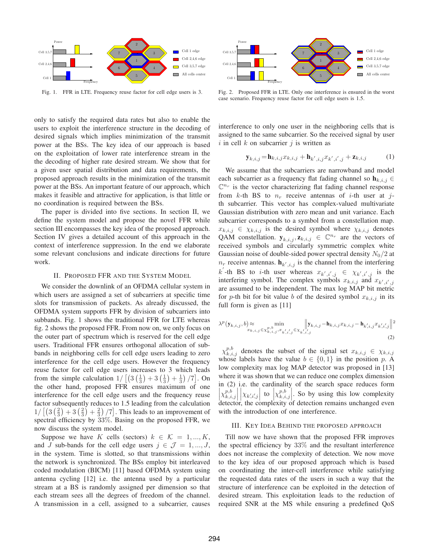

Fig. 1. FFR in LTE. Frequency reuse factor for cell edge users is 3.

only to satisfy the required data rates but also to enable the users to exploit the interference structure in the decoding of desired signals which implies minimization of the transmit power at the BSs. The key idea of our approach is based on the exploitation of lower rate interference stream in the the decoding of higher rate desired stream. We show that for a given user spatial distribution and data requirements, the proposed approach results in the minimization of the transmit power at the BSs. An important feature of our approach, which makes it feasible and attractive for application, is that little or no coordination is required between the BSs.

The paper is divided into five sections. In section II, we define the system model and propose the novel FFR while section III encompasses the key idea of the proposed approach. Section IV gives a detailed account of this approach in the context of interference suppression. In the end we elaborate some relevant conclusions and indicate directions for future work.

#### II. PROPOSED FFR AND THE SYSTEM MODEL

We consider the downlink of an OFDMA cellular system in which users are assigned a set of subcarriers at specific time slots for transmission of packets. As already discussed, the OFDMA system supports FFR by division of subcarriers into subbands. Fig. 1 shows the traditional FFR for LTE whereas fig. 2 shows the proposed FFR. From now on, we only focus on the outer part of spectrum which is reserved for the cell edge users. Traditional FFR ensures orthogonal allocation of subbands in neighboring cells for cell edge users leading to zero interference for the cell edge users. However the frequency reuse factor for cell edge users increases to 3 which leads from the simple calculation  $1/[(3(\frac{1}{3})+3(\frac{1}{3})+\frac{1}{3})/7]$ . On the other hand, proposed FFR ensures maximum of one interference for the cell edge users and the frequency reuse factor subsequently reduces to 1.5 leading from the calculation  $1/[(3(\frac{2}{3})+3(\frac{2}{3})+\frac{2}{3})/7]$ . This leads to an improvement of spectral efficiency by 33%. Basing on the proposed EER we spectral efficiency by 33%. Basing on the proposed FFR, we now discuss the system model.

Suppose we have K cells (sectors)  $k \in \mathcal{K} = 1, ..., K$ , and J sub-bands for the cell edge users  $j \in \mathcal{J} = 1, ..., J$ , in the system. Time is slotted, so that transmissions within the network is synchronized. The BSs employ bit interleaved coded modulation (BICM) [11] based OFDMA system using antenna cycling [12] i.e. the antenna used by a particular stream at a BS is randomly assigned per dimension so that each stream sees all the degrees of freedom of the channel. A transmission in a cell, assigned to a subcarrier, causes



Fig. 2. Proposed FFR in LTE. Only one interference is ensured in the worst case scenario. Frequency reuse factor for cell edge users is 1.5.

interference to only one user in the neighboring cells that is assigned to the same subcarrier. So the received signal by user i in cell  $k$  on subcarrier  $i$  is written as

$$
\mathbf{y}_{k,i,j} = \mathbf{h}_{k,i,j} x_{k,i,j} + \mathbf{h}_{k',i,j} x_{k',i',j} + \mathbf{z}_{k,i,j} \tag{1}
$$

We assume that the subcarriers are narrowband and model each subcarrier as a frequency flat fading channel so  $\mathbf{h}_{k,i,j} \in$  $\mathbb{C}^{n_r}$  is the vector characterizing flat fading channel response from  $k$ -th BS to  $n_r$  receive antennas of *i*-th user at *j*th subcarrier. This vector has complex-valued multivariate Gaussian distribution with zero mean and unit variance. Each subcarrier corresponds to a symbol from a constellation map.  $x_{k,i,j} \in \chi_{k,i,j}$  is the desired symbol where  $\chi_{k,i,j}$  denotes QAM constellation.  $y_{k,i,j}, z_{k,i,j} \in \mathbb{C}^{n_r}$  are the vectors of received symbols and circularly symmetric complex white Gaussian noise of double-sided power spectral density  $N_0/2$  at  $n_r$  receive antennas.  $h_{k',i,j}$  is the channel from the interfering  $k'$ -th BS to *i*-th user whereas  $x_{k',i',j} \in \chi_{k',i',j}$  is the interfering symbol. The complex symbols  $x_{k,i,j}$  and  $x_{k',i',j}$ are assumed to be independent. The max log MAP bit metric for p-th bit for bit value b of the desired symbol  $x_{k,i,j}$  in its full form is given as [11]

$$
\lambda^{p}(\mathbf{y}_{k,i,j},b) \approx \min_{x_{k,i,j} \in \mathcal{X}_{k,i,j}^{p,b}, x_{k',i',j} \in \mathcal{X}_{k',i',j}} \| \mathbf{y}_{k,i,j} - \mathbf{h}_{k,i,j} x_{k,i,j} - \mathbf{h}_{k',i,j} x_{k',i',j} \|^{2}
$$
\n(2)

 $\chi_{k,i,j}^{p,b}$  denotes the subset of the signal set  $x_{k,i,j} \in \chi_{k,i,j}$ whose labels have the value  $b \in \{0, 1\}$  in the position p. A low complexity max log MAP detector was proposed in [13] where it was shown that we can reduce one complex dimension in (2) i.e. the cardinality of the search space reduces form  $\left|\chi_{k,i,j}^{p,b}\right| \left|\chi_{k,i,j}\right|$  to  $\left|\chi_{k,i,j}^{p,b}\right|$ . So by using this low complexity  $\left| \chi_{k} \right|$  $\left|\chi_{k,i,j}^{p,b}\right| \left|\chi_{k,i,j}\right|$  to  $\left|\chi_{k,i,j}^{p,b}\right|$ . So by using this low complexity detector, the complexity of detection remains unchanged even with the introduction of one interference.

#### III. KEY IDEA BEHIND THE PROPOSED APPROACH

Till now we have shown that the proposed FFR improves the spectral efficiency by 33% and the resultant interference does not increase the complexity of detection. We now move to the key idea of our proposed approach which is based on coordinating the inter-cell interference while satisfying the requested data rates of the users in such a way that the structure of interference can be exploited in the detection of desired stream. This exploitation leads to the reduction of required SNR at the MS while ensuring a predefined QoS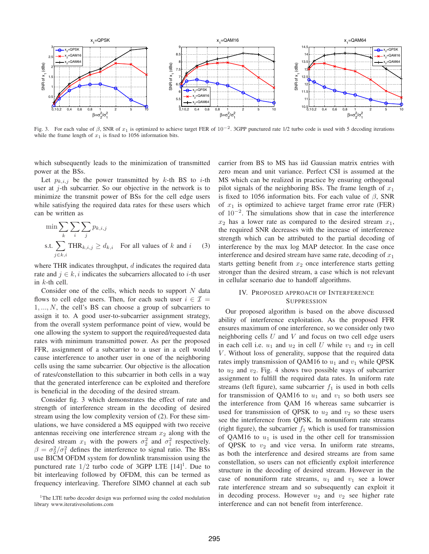

Fig. 3. For each value of  $\beta$ , SNR of  $x_1$  is optimized to achieve target FER of 10<sup>-2</sup>. 3GPP punctured rate 1/2 turbo code is used with 5 decoding iterations while the frame length of  $x_1$  is fixed to 1056 information bits.

which subsequently leads to the minimization of transmitted power at the BSs.

Let  $p_{k,i,j}$  be the power transmitted by k-th BS to i-th user at  $j$ -th subcarrier. So our objective in the network is to minimize the transmit power of BSs for the cell edge users while satisfying the required data rates for these users which can be written as

$$
\min \sum_{k} \sum_{i} \sum_{j} p_{k,i,j}
$$
  
s.t. 
$$
\sum_{j \in k,i} \text{THR}_{k,i,j} \ge d_{k,i} \quad \text{For all values of } k \text{ and } i \qquad (3)
$$

where THR indicates throughput,  $d$  indicates the required data rate and  $j \in k, i$  indicates the subcarriers allocated to *i*-th user in  $k$ -th cell.

Consider one of the cells, which needs to support  $N$  data flows to cell edge users. Then, for each such user  $i \in \mathcal{I}$  =  $1, \ldots, N$ , the cell's BS can choose a group of subcarriers to assign it to. A good user-to-subcarrier assignment strategy, from the overall system performance point of view, would be one allowing the system to support the required/requested data rates with minimum transmitted power. As per the proposed FFR, assignment of a subcarrier to a user in a cell would cause interference to another user in one of the neighboring cells using the same subcarrier. Our objective is the allocation of rates/constellation to this subcarrier in both cells in a way that the generated interference can be exploited and therefore is beneficial in the decoding of the desired stream.

Consider fig. 3 which demonstrates the effect of rate and strength of interference stream in the decoding of desired stream using the low complexity version of (2). For these simulations, we have considered a MS equipped with two receive antennas receiving one interference stream  $x_2$  along with the desired stream  $x_1$  with the powers  $\sigma_2^2$  and  $\sigma_1^2$  respectively.  $\beta = \sigma_2^2/\sigma_1^2$  defines the interference to signal ratio. The BSs<br>use BICM OFDM system for downlink transmission using the use BICM OFDM system for downlink transmission using the punctured rate  $1/2$  turbo code of 3GPP LTE  $[14]$ <sup>1</sup>. Due to bit interleaving followed by OFDM, this can be termed as frequency interleaving. Therefore SIMO channel at each sub carrier from BS to MS has iid Gaussian matrix entries with zero mean and unit variance. Perfect CSI is assumed at the MS which can be realized in practice by ensuring orthogonal pilot signals of the neighboring BSs. The frame length of  $x_1$ is fixed to 1056 information bits. For each value of  $\beta$ , SNR of  $x_1$  is optimized to achieve target frame error rate (FER) of 10<sup>−</sup><sup>2</sup>. The simulations show that in case the interference  $x_2$  has a lower rate as compared to the desired stream  $x_1$ , the required SNR decreases with the increase of interference strength which can be attributed to the partial decoding of interference by the max log MAP detector. In the case once interference and desired stream have same rate, decoding of  $x_1$ starts getting benefit from  $x_2$  once interference starts getting stronger than the desired stream, a case which is not relevant in cellular scenario due to handoff algorithms.

#### IV. PROPOSED APPROACH OF INTERFERENCE SUPPRESSION

Our proposed algorithm is based on the above discussed ability of interference exploitation. As the proposed FFR ensures maximum of one interference, so we consider only two neighboring cells  $U$  and  $V$  and focus on two cell edge users in each cell i.e.  $u_1$  and  $u_2$  in cell U while  $v_1$  and  $v_2$  in cell V. Without loss of generality, suppose that the required data rates imply transmission of QAM16 to  $u_1$  and  $v_1$  while QPSK to  $u_2$  and  $v_2$ . Fig. 4 shows two possible ways of subcarrier assignment to fulfill the required data rates. In uniform rate streams (left figure), same subcarrier  $f_1$  is used in both cells for transmission of QAM16 to  $u_1$  and  $v_1$  so both users see the interference from QAM 16 whereas same subcarrier is used for transmission of QPSK to  $u_2$  and  $v_2$  so these users see the interference from QPSK. In nonuniform rate streams (right figure), the subcarrier  $f_1$  which is used for transmission of QAM16 to  $u_1$  is used in the other cell for transmission of QPSK to  $v_2$  and vice versa. In uniform rate streams, as both the interference and desired streams are from same constellation, so users can not efficiently exploit interference structure in the decoding of desired stream. However in the case of nonuniform rate streams,  $u_1$  and  $v_1$  see a lower rate interference stream and so subsequently can exploit it in decoding process. However  $u_2$  and  $v_2$  see higher rate interference and can not benefit from interference.

<sup>&</sup>lt;sup>1</sup>The LTE turbo decoder design was performed using the coded modulation library www.iterativesolutions.com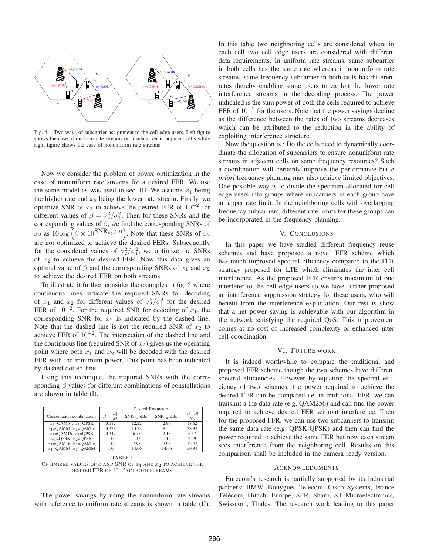

Fig. 4. Two ways of subcarrier assignment to the cell edge users. Left figure shows the case of uniform rate streams on a subcarrier in adjacent cells while right figure shows the case of nonuniform rate streams.

Now we consider the problem of power optimization in the case of nonuniform rate streams for a desired FER. We use the same model as was used in sec. III. We assume  $x_1$  being the higher rate and  $x_2$  being the lower rate stream. Firstly, we optimize SNR of  $x_1$  to achieve the desired FER of 10<sup>-2</sup> for different values of  $\beta = \sigma_2^2/\sigma_1^2$ . Then for these SNRs and the corresponding SNRs of corresponding values of  $\beta$ , we find the corresponding SNRs of  $x_2$  as  $10 \log \left( \beta \times 10^{5} \text{NR}_{x_1} / 10 \right)$ . Note that these SNRs of  $x_2$ are not optimized to achieve the desired FERs. Subsequently for the considered values of  $\sigma_2^2/\sigma_1^2$ , we optimize the SNRs of  $x_2$  to achieve the desired FER. Now this data gives an optimal value of  $\beta$  and the corresponding SNRs of  $x_1$  and  $x_2$ to achieve the desired FER on both streams.

To illustrate it further, consider the examples in fig. 5 where continuous lines indicate the required SNRs for decoding of  $x_1$  and  $x_2$  for different values of  $\sigma_2^2/\sigma_1^2$  for the desired FER of  $10^{-2}$ . For the required SNR for decoding of  $x_1$ , the corresponding SNR for  $x_2$  is indicated by the dashed line. Note that the dashed line is not the required SNR of  $x_2$  to achieve FER of  $10^{-2}$ . The intersection of the dashed line and the continuous line (required SNR of  $x_2$ ) gives us the operating point where both  $x_1$  and  $x_2$  will be decoded with the desired FER with the minimum power. This point has been indicated by dashed-dotted line.

Using this technique, the required SNRs with the corresponding  $\beta$  values for different combinations of constellations are shown in table (I).

|                              | <b>Desired Parameters</b>      |                   |                  |                                               |  |
|------------------------------|--------------------------------|-------------------|------------------|-----------------------------------------------|--|
| Constellation combinations   | $\beta = \frac{\sigma_2^2}{2}$ | $SNR_{x_1}$ (dBs) | $SNR_{x_2}(dBs)$ | $\sigma_1^2 + \sigma_2^2$<br>$\overline{N}_0$ |  |
| $x_1 =$ OAM64, $x_2 =$ OPSK  | 0.117                          | 12.22             | 2.90             | 18.62                                         |  |
| $x_1 =$ OAM64, $x_2 =$ OAM16 | 0.329                          | 13.38             | 8.55             | 28.94                                         |  |
| $x_1 =$ OAM16, $x_2 =$ OPSK  | 0.347                          | 6.75              | 2.15             | 6.37                                          |  |
| $x_1$ =OPSK, $x_2$ =OPSK     | 1.0                            | 1.13              | 1.13             | 2.59                                          |  |
| $x_1 =$ OAM16, $x_2 =$ OAM16 | 1.0                            | 7.95              | 7.95             | 12.47                                         |  |
| $x_1 =$ OAM64, $x_2 =$ OAM64 | 1.0                            | 14.06             | 14.06            | 50.94                                         |  |

TABLE I

OPTIMIZED VALUES OF  $\beta$  and SNR of  $x_1$  and  $x_2$  to achieve the DESIRED FER OF  $10^{-2}$  ON BOTH STREAMS.

The power savings by using the nonuniform rate streams with reference to uniform rate streams is shown in table (II).

In this table two neighboring cells are considered where in each cell two cell edge users are considered with different data requirements. In uniform rate streams, same subcarrier in both cells has the same rate whereas in nonuniform rate streams, same frequency subcarrier in both cells has different rates thereby enabling some users to exploit the lower rate interference streams in the decoding process. The power indicated is the sum power of both the cells required to achieve FER of  $10^{-2}$  for the users. Note that the power savings decline as the difference between the rates of two streams decreases which can be attributed to the reduction in the ability of exploiting interference structure.

Now the question is : Do the cells need to dynamically coordinate the allocation of subcarriers to ensure nonuniform rate streams in adjacent cells on same frequency resources? Such a coordination will certainly improve the performance but *a priori* frequency planning may also achieve limited objectives. One possible way is to divide the spectrum allocated for cell edge users into groups where subcarriers in each group have an upper rate limit. In the neighboring cells with overlapping frequency subcarriers, different rate limits for these groups can be incorporated in the frequency planning.

#### V. CONCLUSIONS

In this paper we have studied different frequency reuse schemes and have proposed a novel FFR scheme which has much improved spectral efficiency compared to the FFR strategy proposed for LTE which eliminates the inter cell interference. As the proposed FFR ensures maximum of one interferer to the cell edge users so we have further proposed an interference suppression strategy for these users, who will benefit from the interference exploitation. Our results show that a net power saving is achievable with our algorithm in the network satisfying the required QoS. This improvement comes at no cost of increased complexity or enhanced inter cell coordination.

#### VI. FUTURE WORK

It is indeed worthwhile to compare the traditional and proposed FFR scheme though the two schemes have different spectral efficiencies. However by equating the spectral efficiency of two schemes, the power required to achieve the desired FER can be compared i.e. in traditional FFR, we can transmit a the data rate (e.g. QAM256) and can find the power required to achieve desired FER without interference. Then for the proposed FFR, we can use two subcarriers to transmit the same data rate (e.g. QPSK-QPSK) and then can find the power required to achieve the same FER but now each stream sees interference from the neighboring cell. Results on this comparison shall be included in the camera ready version.

#### ACKNOWLEDGMENTS

Eurecom's research is partially supported by its industrial partners: BMW, Bouygues Telecom, Cisco Systems, France Télécom, Hitachi Europe, SFR, Sharp, ST Microelectronics, Swisscom, Thales. The research work leading to this paper